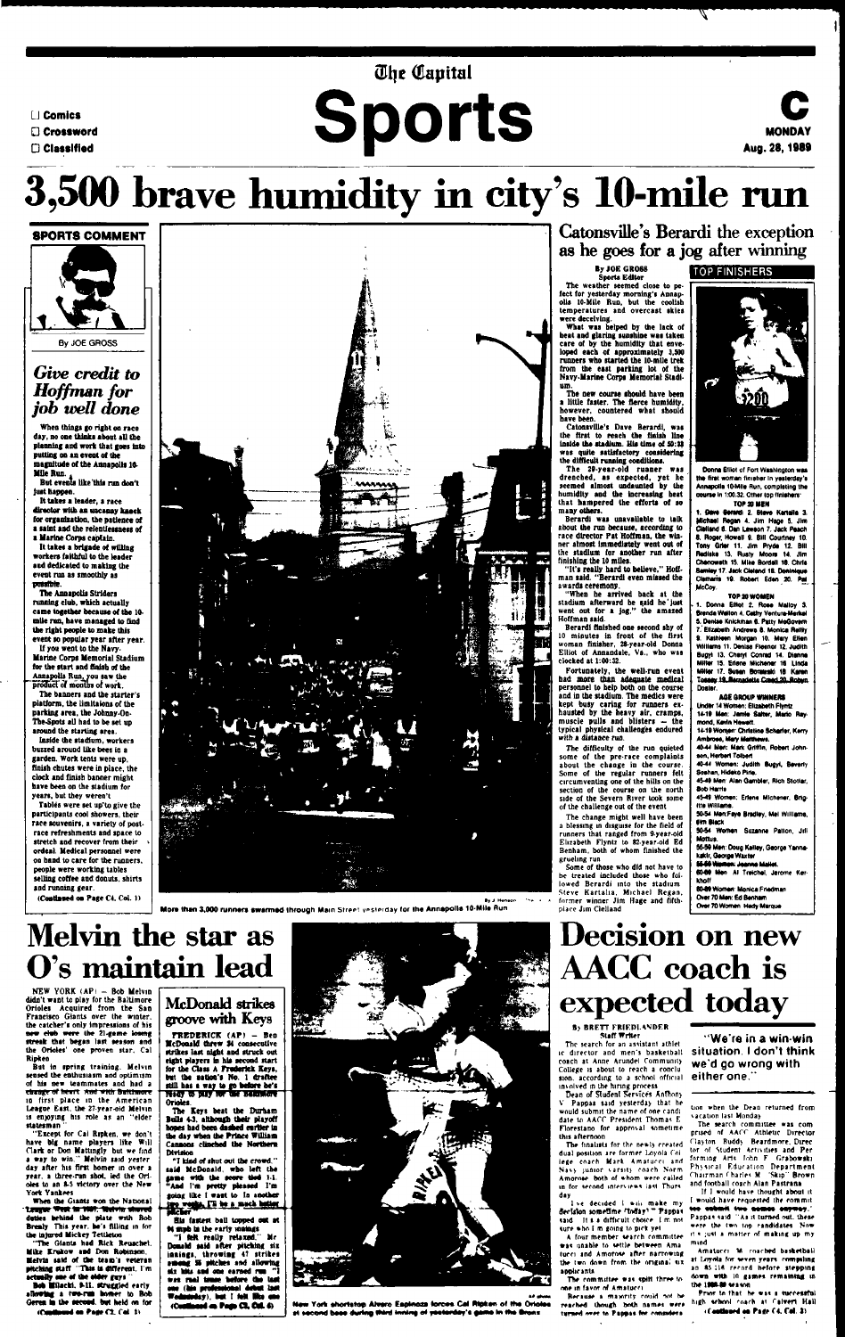### *<u>Ohe</u>* Capital

- **LJ Comics**
- **G Crossword**
- 

# LI Comics<br>**D Classified**

### **C MONDAY Aug. 28,1989**

When things go right on race day, no one thinks about all the planning and work that goes into putting on an event of the magnitude of the Annapolis 10 magnitude (<br>Mile Run. <sub>A</sub>

## 3, **brave humidity in city's 10-mile run**

### **SPORTS COMMENT**



By JOE GROSS

### *Give credit to Hoffman for job well done*

It takes a leader, a race director with an uncanny kneck for organization, the patience of a saint and the relentlessness of a Marine Corps captain.

But events like'this run don't just happen.

If you went to the Navy-Marine Corps Memorial Stadium for the start and finish of the Annapolis Run.you saw the product of months of work.

It takes a brigade of willing workers faithful to the leader and dedicated to making the event run as smoothly as **possible'.**

Tables were set up'to give the participants cool showers, their race souvenirs, a variety of postrace refreshments and space to stretch and recover from their ordeal. Medical personnel were on hand to care for the runners, people were working tables selling coffee and donuts, shirts and running gear.

**(Coatlaned on Page C4. Col. 1)** 

More than 3,000 runners swarmed through Main Street yesterday for the Annapolis 10-Mile Run.

The Annapolis Striders running club, which actually came together because of the 10 mile run, have managed to find the right people to make this event so popular year after year.

 $NEW$  YORK  $(AP)$   $-$  Bob Melvin didn't want to play for the Baltimore Orioles Acquired from the San Francisco Giants over the winter, the catcher's only Impressions of his new club were the 21-game losing streak that began last season and the Orioles' one proven star. Cal Ripken

But In spring training. Melvin sensed the enthusiasm and optimism of his new teammates and had a rtange of heart And with Baltimore in first place in the American League East, the 27 year-old Melvin is enjoying his role as an "elder statesman

The banners and the starter's platform, the limitaions of the parking area, the Johnny-On-The-Spots all had to be set up around the starting area.

Inside the stadium, workers buzzed around like bees in a garden. Work tents were up, finish chutes were in place, the clock and finish banner might have been on the stadium for



years, but they weren't

**"The GtanU had Rick Reuscbel. Mike Krakow and Don Robinson, •ehria said of tbe team's veteran pitching staff "Tbi» ts different. I'm** actually ane of the older guys

Bob Milacki. 9-11. struggled early allowing a two-ran bomer to Bob Geres in the second, but held on for (Continued on Page  $(2, 0d, 4)$ 

FREDERICK (AP) - Ben McDonald threw M consecutive strikes last night and struck out eight players in his second start for tbe Class A Frederick Keys, but tbe Batten's No. 1 draftee still has a way to go before he's **Orioles**

**"I kind of shut out tbe crowd." said McDonald, wbo left the** game with the score tied 1-1. **"And I'm pretty pleased I'm going like I want to la another** ftro weeks. I'll be a much better

**His fastest ball topped out at M** mph in the early maings

### **Melvin the star as O's maintain lead**

**"I Mt really relaxed. Mr** Donald said after pitching six **Inaings, throwing 4? strikes** assessing Si pitches and allowing six laks and one earned run was raal tense before the last one (his professional debut the<br>Wednisolay), but I felt <mark>Mis use</mark><br>(Continued on Page C2, Col. 4)



**New York shortstop Alvaro Espinoza forces Cal Ripken of** at second bees during third inning of yesterday's

Catonsville's Berardi the exception as he goes for a jog after winning

What was helped by the lack of beat and glaring sunshine was taken care of by the humidity that enveloped each of approximately 3,500 runners who started the 10-mile trek from the east parking lot of the Navy-llarine Corps Memorial Stadium.

The new course should have been a little faster. The fierce humidity, however, countered what should have been.

"Except for Cal Ripken, we don't have big name players like Will Clark or Don Mattmgly but we find a way to win." Melvin said yester day after his first homer in over a year, a three-run shot, led the Oriolet to an 8-S victory over the New York Yankees

When the Giants won the National 'League West in 1987, Melvin shared duties behind tbe plate with Bob Brealy This year, he's filling in for the Injured Mickey Tettleton

The difficulty of the run quieted some of the pre-race complaints about the change in the course. Some of the regular runners felt circumventing one of the hills on the be course

### **By JOE GROSS TOP FINISHERS**

### **McDonald strikes groove with Keys**

Donna Elliot ol Fort Washington was the first woman finisher in vesterday's Annapolis 10-Mile Run, completing the course in 1:00.32. Other top finishers'

t. Owe Bererti 2. Stave KanaHa 3. Michael Regan 4. Jim Hage S. Jim Clelland 8. Dan Lawson 7. Jack Peach 6. Roger. Howall 9. Bill Courtney 10. Tony Grief 11. Jim Pryde 12. Bill Redleke 13. Rusty Moore 14. Jim Chenoweth 15, Mike Bordell 16. Chris Samley 17. Jack Cleland 1B, Doninique Clemarfa 10. Robert Eden 20. Pat McCoy.

**Tbe Keys beat tbe Durham Boos 4-3, attboufb tbeir playoff bones bad been dashed eirtter in tbe day when tbe Prince William Cannons clinched tbe Northern DiTtstoo**

**Sports Editor**

The weather seemed close to pe-

feet for yesterday morning's Annapolis 10-Mile Run, but the coolish temperatures and overcast skies were deceiving.

Dean of Sludenl Services Anthony V Pappas said yesterday thai he would submit the name of one candidate to AACC President Thomas E. Florestano for approval sometime this afternoon

1 ve decided I will make my<br>decision sometime (indig) = Pappas said. It is a difficult choice. I m not «ure »hn I m going to pick yet

lion when the Dean returned from vacation last Monday

The search committee was com prised of AAfT Athletic Director riayton Buddy Beardmore. Direc tor of Student Activities and Per forming Arts John F. Grabowski Physical Education Department Chairman Charles M 'Skip" Brown and football coach Alan Pastrana

Catonsville's Dave Berardi, was the first to reach the finish line inside the stadium. His time of 50:32 was quite satisfactory considering the difficult running conditions.

The 29-year-old runner was drenched, as expected, yet he seemed almost undaunted by the humidity and the increasing heat that hampered the efforts of so many others.

> If I would have thought about it would have requested the commit tee submit two names anyway." Pappas said "As it turned out. these were the two top candidates. Now it « ;u\*t a matter of making up my mind

> Amatucn M coached basketball »t Irryrtla for «e\*efl ye»rt compiling an #5.116 record before stepping down with 10 games remaining in the 1988-80 season.

> Prior to that he was a successful high school coach at Calvert Hall (Continued on Page C4, Col. 2)

Berardi was unavailable to talk about the run because, according to race director Pat Hoffman, the winner almost Immediately went out of the stadium for another run after finishing the 10 miles.

"It's really hard to believe," Hoffman said. "Berardi even missed the awards ceremony.

"When he arrived back at the stadium afterward he said he'just went out for a jog," the amazed Hoffman said.

Berardi finished one second shy of 10 minutes in front of the first woman finisher, 28-year-old Donna Elliot of Annandale, Va., who was clocked at 1:00:32.

Fortunately, the well-run event had more than adequate medical personnel to help both on the course and in the stadium. The medics were kept busy caring for runners exhausted by the heavy air, cramps, muscle pulls and blisters — the typical physical challenges endured with a distance run.

side of the Severn River took some of the challenge out of the event

The change might well have been a blessing in disguise for the field of runners that ranged from 9-year-old Elizabeth Flyntz to 82-year-old Ed Benham, both of whom finished the grueling run

Some of those who did not have to be treated included those who followed Berardi into the stadium Steve Kartalia, Michael Regan, former winner Jim Hage and fifthplace Jim Clelland

**TOP 20 MEN**

#### **TOP 20 WOMEN**

1. Donna Elliot 2. Rose Malloy 3. Brenda Walton 4. Cathy Ventura-Meritel S. Denlae Knlckrnan 6. Patty MeQovem 7.'Elizabeth Andrews 8. Monica Rellly 9. Kathleen Morgan 10. Mary Ellen Williams 11. Denlsa Fleenor 12. Judith Bugyl 13. Cheryl Conrad 14. Dlanna Miller 15. Eriene Mlchener 16 Linda Miller 17. Suean Borawakl 18 Karen Tossey 19.Bemadette Creed.20.Robyn Doster.

#### **AGE GROUP WINNERS**

Under 14 Women: Elizabeth Flyntz 14-19 Men: Jamie Sailer, Mario Raymond, Kevin Hewert. 14-19 Women- Christine Scnarfer, Kerry

Ambrose, Mery Metthews.

4044 Men: Mark Griffin, Robert Johnson, Herbert Tolbert

4044 Women: Judith Bugyl, Beverly Soshan, Hideko Pirie. 4549 Men Alan Gambler, Rtch Stotlar.

Bob Harris

4549 Women: Eriene Mlchener. Brig-Itte WHllamt. 5044 Men:Feye Bradley, Mel Williams, Ihn Black **5044 Women Suzanne Petton, Jill** Mottus. **5549 Men: Doug Kelley. George Yanrwkaklr, George Waxier** 55-69 Waman: Jeanna Mallet **8049** Men Al Trelchel, Jerome Kerkholf **6049** Women' Monica Friedman Over 70 Men. Ed Benham Over 70 Women Hedy Marque

### **Decision on new AACC coach is expected today**

#### **B) BRETT FRIFDL4NDER** Staff Writer

The search for an assistant athlet ic director and men's basketball coach at Anne Arundel Community College is about to reach a conclu sion. according to a school official involved in the hiring process

The finalists for the newly created dual position are former Loyola Col lege coach Mark Amatucci and Navy junior varsity coach Norm. Amorose both of whom were called in for second interview s last Triurs d ay

A four member search committee was unable to settle between Amaturci and Amorow after narrowing the two down from the original six. applicants

The committee was split three to one in favor of Amatischi

Because a majority could not be reached though both names were turned over to Pappas for considers

'We're in a win-win situation. I don't think we'd go wrong with either one."